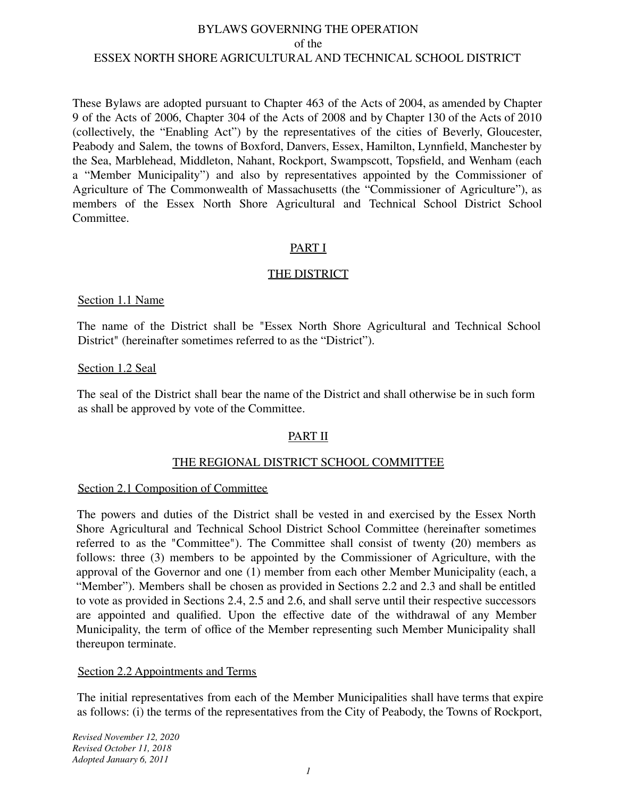These Bylaws are adopted pursuant to Chapter 463 of the Acts of 2004, as amended by Chapter 9 of the Acts of 2006, Chapter 304 of the Acts of 2008 and by Chapter 130 of the Acts of 2010 (collectively, the "Enabling Act") by the representatives of the cities of Beverly, Gloucester, Peabody and Salem, the towns of Boxford, Danvers, Essex, Hamilton, Lynnfield, Manchester by the Sea, Marblehead, Middleton, Nahant, Rockport, Swampscott, Topsfield, and Wenham (each a "Member Municipality") and also by representatives appointed by the Commissioner of Agriculture of The Commonwealth of Massachusetts (the "Commissioner of Agriculture"), as members of the Essex North Shore Agricultural and Technical School District School Committee.

## PART I

## THE DISTRICT

#### Section 1.1 Name

The name of the District shall be "Essex North Shore Agricultural and Technical School District" (hereinafter sometimes referred to as the "District").

#### Section 1.2 Seal

The seal of the District shall bear the name of the District and shall otherwise be in such form as shall be approved by vote of the Committee.

# PART II

## THE REGIONAL DISTRICT SCHOOL COMMITTEE

#### Section 2.1 Composition of Committee

The powers and duties of the District shall be vested in and exercised by the Essex North Shore Agricultural and Technical School District School Committee (hereinafter sometimes referred to as the "Committee"). The Committee shall consist of twenty **(**20) members as follows: three (3) members to be appointed by the Commissioner of Agriculture, with the approval of the Governor and one (1) member from each other Member Municipality (each, a "Member"). Members shall be chosen as provided in Sections 2.2 and 2.3 and shall be entitled to vote as provided in Sections 2.4, 2.5 and 2.6, and shall serve until their respective successors are appointed and qualified. Upon the effective date of the withdrawal of any Member Municipality, the term of office of the Member representing such Member Municipality shall thereupon terminate.

#### Section 2.2 Appointments and Terms

The initial representatives from each of the Member Municipalities shall have terms that expire as follows: (i) the terms of the representatives from the City of Peabody, the Towns of Rockport,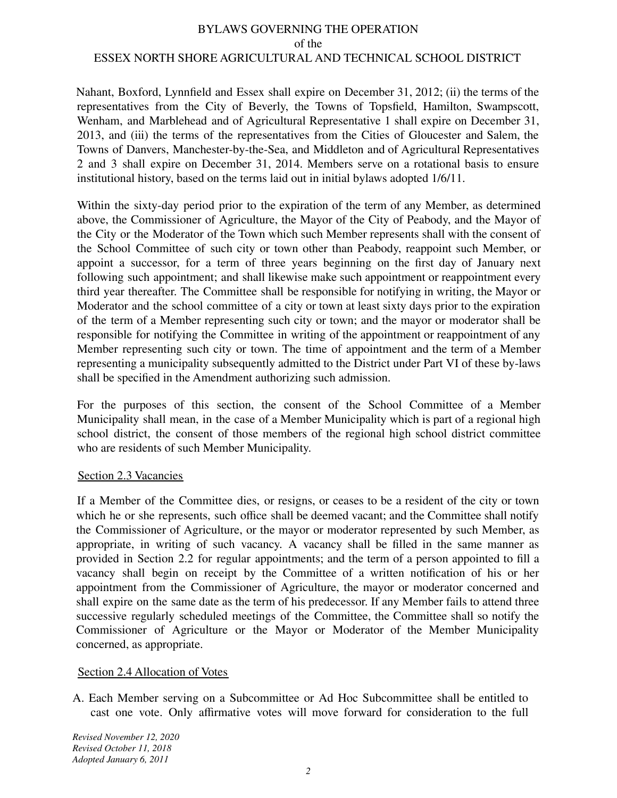Nahant, Boxford, Lynnfield and Essex shall expire on December 31, 2012; (ii) the terms of the representatives from the City of Beverly, the Towns of Topsfield, Hamilton, Swampscott, Wenham, and Marblehead and of Agricultural Representative 1 shall expire on December 31, 2013, and (iii) the terms of the representatives from the Cities of Gloucester and Salem, the Towns of Danvers, Manchester-by-the-Sea, and Middleton and of Agricultural Representatives 2 and 3 shall expire on December 31, 2014. Members serve on a rotational basis to ensure institutional history, based on the terms laid out in initial bylaws adopted 1/6/11.

Within the sixty-day period prior to the expiration of the term of any Member, as determined above, the Commissioner of Agriculture, the Mayor of the City of Peabody, and the Mayor of the City or the Moderator of the Town which such Member represents shall with the consent of the School Committee of such city or town other than Peabody, reappoint such Member, or appoint a successor, for a term of three years beginning on the first day of January next following such appointment; and shall likewise make such appointment or reappointment every third year thereafter. The Committee shall be responsible for notifying in writing, the Mayor or Moderator and the school committee of a city or town at least sixty days prior to the expiration of the term of a Member representing such city or town; and the mayor or moderator shall be responsible for notifying the Committee in writing of the appointment or reappointment of any Member representing such city or town. The time of appointment and the term of a Member representing a municipality subsequently admitted to the District under Part VI of these by-laws shall be specified in the Amendment authorizing such admission.

For the purposes of this section, the consent of the School Committee of a Member Municipality shall mean, in the case of a Member Municipality which is part of a regional high school district, the consent of those members of the regional high school district committee who are residents of such Member Municipality.

## Section 2.3 Vacancies

If a Member of the Committee dies, or resigns, or ceases to be a resident of the city or town which he or she represents, such office shall be deemed vacant; and the Committee shall notify the Commissioner of Agriculture, or the mayor or moderator represented by such Member, as appropriate, in writing of such vacancy. A vacancy shall be filled in the same manner as provided in Section 2.2 for regular appointments; and the term of a person appointed to fill a vacancy shall begin on receipt by the Committee of a written notification of his or her appointment from the Commissioner of Agriculture, the mayor or moderator concerned and shall expire on the same date as the term of his predecessor. If any Member fails to attend three successive regularly scheduled meetings of the Committee, the Committee shall so notify the Commissioner of Agriculture or the Mayor or Moderator of the Member Municipality concerned, as appropriate.

# Section 2.4 Allocation of Votes

A. Each Member serving on a Subcommittee or Ad Hoc Subcommittee shall be entitled to cast one vote. Only affirmative votes will move forward for consideration to the full

*Revised November 12, 2020 Revised October 11, 2018 Adopted January 6, 2011*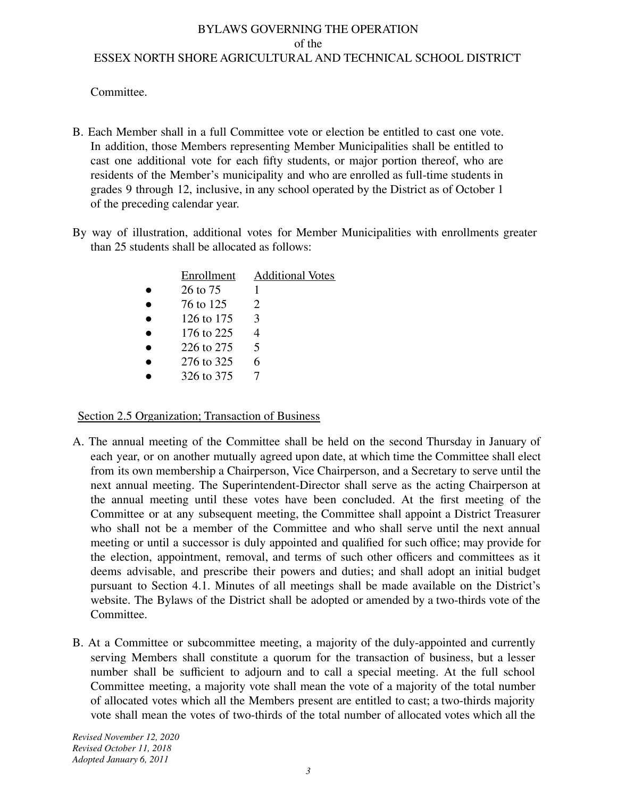Committee.

- B. Each Member shall in a full Committee vote or election be entitled to cast one vote. In addition, those Members representing Member Municipalities shall be entitled to cast one additional vote for each fifty students, or major portion thereof, who are residents of the Member's municipality and who are enrolled as full-time students in grades 9 through 12, inclusive, in any school operated by the District as of October 1 of the preceding calendar year.
- By way of illustration, additional votes for Member Municipalities with enrollments greater than 25 students shall be allocated as follows:

| Enrollment | <b>Additional Votes</b>     |
|------------|-----------------------------|
| 26 to 75   |                             |
| 76 to 125  | $\mathcal{D}_{\mathcal{L}}$ |
| 126 to 175 | $\mathcal{F}$               |
| 176 to 225 | 4                           |
| 226 to 275 | $\overline{\mathbf{5}}$     |
| 276 to 325 | 6                           |
| 326 to 375 |                             |
|            |                             |

Section 2.5 Organization; Transaction of Business

- A. The annual meeting of the Committee shall be held on the second Thursday in January of each year, or on another mutually agreed upon date, at which time the Committee shall elect from its own membership a Chairperson, Vice Chairperson, and a Secretary to serve until the next annual meeting. The Superintendent-Director shall serve as the acting Chairperson at the annual meeting until these votes have been concluded. At the first meeting of the Committee or at any subsequent meeting, the Committee shall appoint a District Treasurer who shall not be a member of the Committee and who shall serve until the next annual meeting or until a successor is duly appointed and qualified for such office; may provide for the election, appointment, removal, and terms of such other officers and committees as it deems advisable, and prescribe their powers and duties; and shall adopt an initial budget pursuant to Section 4.1. Minutes of all meetings shall be made available on the District's website. The Bylaws of the District shall be adopted or amended by a two-thirds vote of the Committee.
- B. At a Committee or subcommittee meeting, a majority of the duly-appointed and currently serving Members shall constitute a quorum for the transaction of business, but a lesser number shall be sufficient to adjourn and to call a special meeting. At the full school Committee meeting, a majority vote shall mean the vote of a majority of the total number of allocated votes which all the Members present are entitled to cast; a two-thirds majority vote shall mean the votes of two-thirds of the total number of allocated votes which all the

*Revised November 12, 2020 Revised October 11, 2018 Adopted January 6, 2011*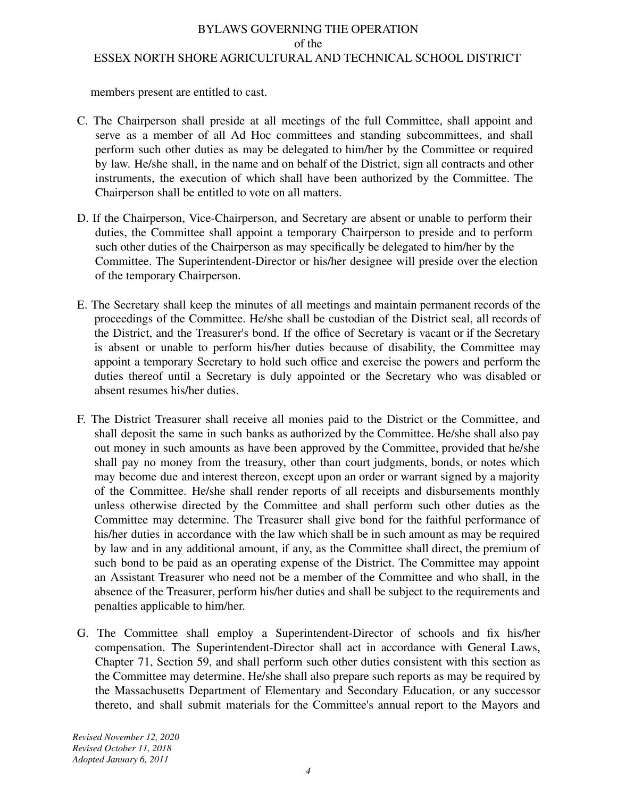members present are entitled to cast.

- C. The Chairperson shall preside at all meetings of the full Committee, shall appoint and serve as a member of all Ad Hoc committees and standing subcommittees, and shall perform such other duties as may be delegated to him/her by the Committee or required by law. He/she shall, in the name and on behalf of the District, sign all contracts and other instruments, the execution of which shall have been authorized by the Committee. The Chairperson shall be entitled to vote on all matters.
- D. If the Chairperson, Vice-Chairperson, and Secretary are absent or unable to perform their duties, the Committee shall appoint a temporary Chairperson to preside and to perform such other duties of the Chairperson as may specifically be delegated to him/her by the Committee. The Superintendent-Director or his/her designee will preside over the election of the temporary Chairperson.
- E. The Secretary shall keep the minutes of all meetings and maintain permanent records of the proceedings of the Committee. He/she shall be custodian of the District seal, all records of the District, and the Treasurer's bond. If the office of Secretary is vacant or if the Secretary is absent or unable to perform his/her duties because of disability, the Committee may appoint a temporary Secretary to hold such office and exercise the powers and perform the duties thereof until a Secretary is duly appointed or the Secretary who was disabled or absent resumes his/her duties.
- F. The District Treasurer shall receive all monies paid to the District or the Committee, and shall deposit the same in such banks as authorized by the Committee. He/she shall also pay out money in such amounts as have been approved by the Committee, provided that he/she shall pay no money from the treasury, other than court judgments, bonds, or notes which may become due and interest thereon, except upon an order or warrant signed by a majority of the Committee. He/she shall render reports of all receipts and disbursements monthly unless otherwise directed by the Committee and shall perform such other duties as the Committee may determine. The Treasurer shall give bond for the faithful performance of his/her duties in accordance with the law which shall be in such amount as may be required by law and in any additional amount, if any, as the Committee shall direct, the premium of such bond to be paid as an operating expense of the District. The Committee may appoint an Assistant Treasurer who need not be a member of the Committee and who shall, in the absence of the Treasurer, perform his/her duties and shall be subject to the requirements and penalties applicable to him/her.
- G. The Committee shall employ a Superintendent-Director of schools and fix his/her compensation. The Superintendent-Director shall act in accordance with General Laws, Chapter 71, Section 59, and shall perform such other duties consistent with this section as the Committee may determine. He/she shall also prepare such reports as may be required by the Massachusetts Department of Elementary and Secondary Education, or any successor thereto, and shall submit materials for the Committee's annual report to the Mayors and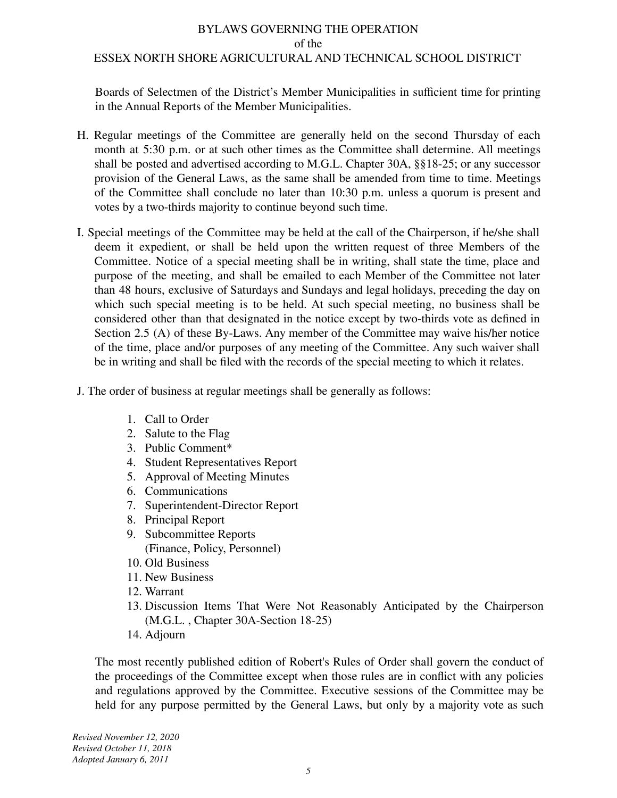Boards of Selectmen of the District's Member Municipalities in sufficient time for printing in the Annual Reports of the Member Municipalities.

- H. Regular meetings of the Committee are generally held on the second Thursday of each month at 5:30 p.m. or at such other times as the Committee shall determine. All meetings shall be posted and advertised according to M.G.L. Chapter 30A, §§18-25; or any successor provision of the General Laws, as the same shall be amended from time to time. Meetings of the Committee shall conclude no later than 10:30 p.m. unless a quorum is present and votes by a two-thirds majority to continue beyond such time.
- I. Special meetings of the Committee may be held at the call of the Chairperson, if he/she shall deem it expedient, or shall be held upon the written request of three Members of the Committee. Notice of a special meeting shall be in writing, shall state the time, place and purpose of the meeting, and shall be emailed to each Member of the Committee not later than 48 hours, exclusive of Saturdays and Sundays and legal holidays, preceding the day on which such special meeting is to be held. At such special meeting, no business shall be considered other than that designated in the notice except by two-thirds vote as defined in Section 2.5 (A) of these By-Laws. Any member of the Committee may waive his/her notice of the time, place and/or purposes of any meeting of the Committee. Any such waiver shall be in writing and shall be filed with the records of the special meeting to which it relates.
- J. The order of business at regular meetings shall be generally as follows:
	- 1. Call to Order
	- 2. Salute to the Flag
	- 3. Public Comment\*
	- 4. Student Representatives Report
	- 5. Approval of Meeting Minutes
	- 6. Communications
	- 7. Superintendent-Director Report
	- 8. Principal Report
	- 9. Subcommittee Reports (Finance, Policy, Personnel)
	- 10. Old Business
	- 11. New Business
	- 12. Warrant
	- 13. Discussion Items That Were Not Reasonably Anticipated by the Chairperson (M.G.L. , Chapter 30A-Section 18-25)
	- 14. Adjourn

The most recently published edition of Robert's Rules of Order shall govern the conduct of the proceedings of the Committee except when those rules are in conflict with any policies and regulations approved by the Committee. Executive sessions of the Committee may be held for any purpose permitted by the General Laws, but only by a majority vote as such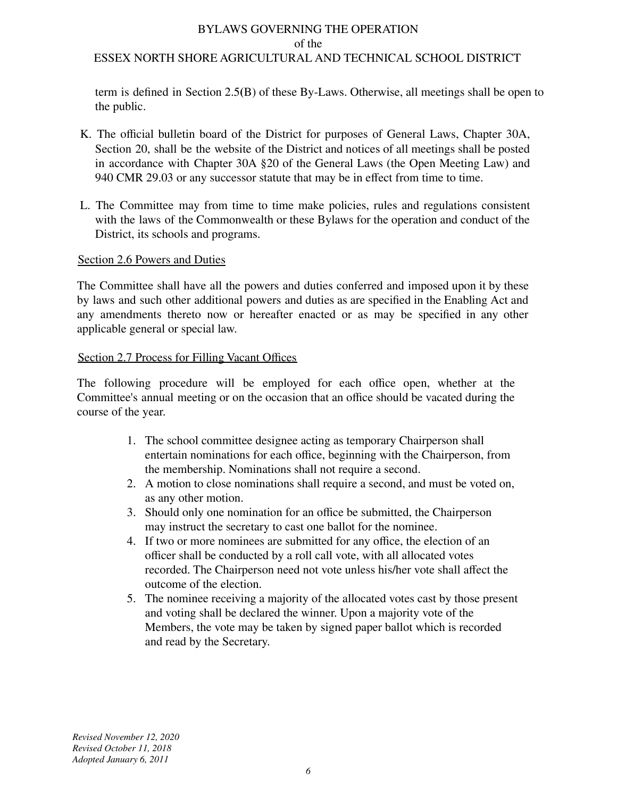term is defined in Section 2.5**(**B) of these By-Laws. Otherwise, all meetings shall be open to the public.

- K. The official bulletin board of the District for purposes of General Laws, Chapter 30A, Section 20, shall be the website of the District and notices of all meetings shall be posted in accordance with Chapter 30A §20 of the General Laws (the Open Meeting Law) and 940 CMR 29.03 or any successor statute that may be in effect from time to time.
- L. The Committee may from time to time make policies, rules and regulations consistent with the laws of the Commonwealth or these Bylaws for the operation and conduct of the District, its schools and programs.

## Section 2.6 Powers and Duties

The Committee shall have all the powers and duties conferred and imposed upon it by these by laws and such other additional powers and duties as are specified in the Enabling Act and any amendments thereto now or hereafter enacted or as may be specified in any other applicable general or special law.

## Section 2.7 Process for Filling Vacant Offices

The following procedure will be employed for each office open, whether at the Committee's annual meeting or on the occasion that an office should be vacated during the course of the year.

- 1. The school committee designee acting as temporary Chairperson shall entertain nominations for each office, beginning with the Chairperson, from the membership. Nominations shall not require a second.
- 2. A motion to close nominations shall require a second, and must be voted on, as any other motion.
- 3. Should only one nomination for an office be submitted, the Chairperson may instruct the secretary to cast one ballot for the nominee.
- 4. If two or more nominees are submitted for any office, the election of an officer shall be conducted by a roll call vote, with all allocated votes recorded. The Chairperson need not vote unless his/her vote shall affect the outcome of the election.
- 5. The nominee receiving a majority of the allocated votes cast by those present and voting shall be declared the winner. Upon a majority vote of the Members, the vote may be taken by signed paper ballot which is recorded and read by the Secretary.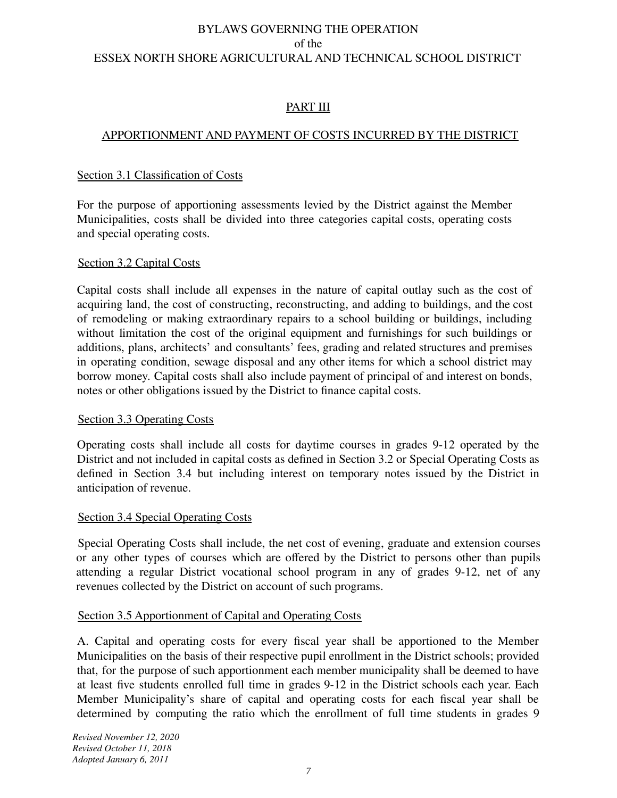# PART III

# APPORTIONMENT AND PAYMENT OF COSTS INCURRED BY THE DISTRICT

## Section 3.1 Classification of Costs

For the purpose of apportioning assessments levied by the District against the Member Municipalities, costs shall be divided into three categories capital costs, operating costs and special operating costs.

## Section 3.2 Capital Costs

Capital costs shall include all expenses in the nature of capital outlay such as the cost of acquiring land, the cost of constructing, reconstructing, and adding to buildings, and the cost of remodeling or making extraordinary repairs to a school building or buildings, including without limitation the cost of the original equipment and furnishings for such buildings or additions, plans, architects' and consultants' fees, grading and related structures and premises in operating condition, sewage disposal and any other items for which a school district may borrow money. Capital costs shall also include payment of principal of and interest on bonds, notes or other obligations issued by the District to finance capital costs.

## Section 3.3 Operating Costs

Operating costs shall include all costs for daytime courses in grades 9-12 operated by the District and not included in capital costs as defined in Section 3.2 or Special Operating Costs as defined in Section 3.4 but including interest on temporary notes issued by the District in anticipation of revenue.

## Section 3.4 Special Operating Costs

Special Operating Costs shall include, the net cost of evening, graduate and extension courses or any other types of courses which are offered by the District to persons other than pupils attending a regular District vocational school program in any of grades 9-12, net of any revenues collected by the District on account of such programs.

## Section 3.5 Apportionment of Capital and Operating Costs

A. Capital and operating costs for every fiscal year shall be apportioned to the Member Municipalities on the basis of their respective pupil enrollment in the District schools; provided that, for the purpose of such apportionment each member municipality shall be deemed to have at least five students enrolled full time in grades 9-12 in the District schools each year. Each Member Municipality's share of capital and operating costs for each fiscal year shall be determined by computing the ratio which the enrollment of full time students in grades 9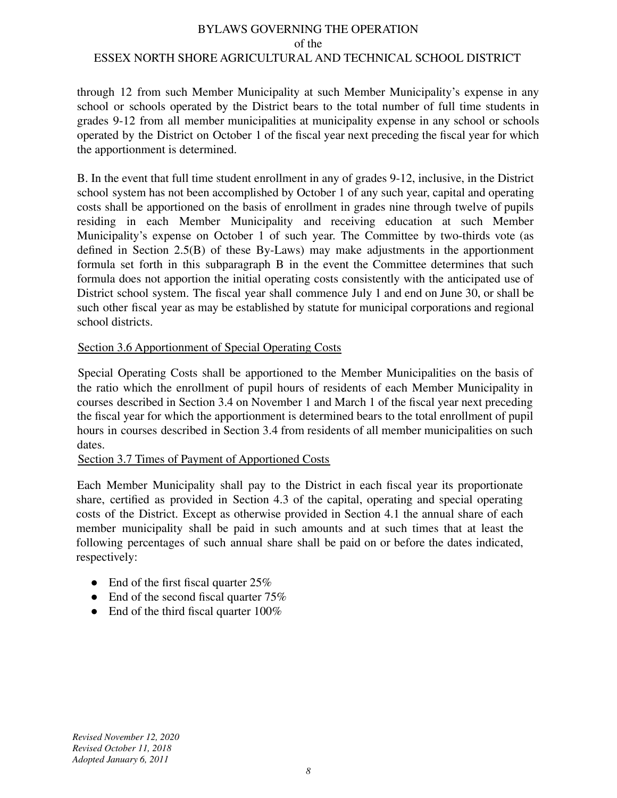through 12 from such Member Municipality at such Member Municipality's expense in any school or schools operated by the District bears to the total number of full time students in grades 9-12 from all member municipalities at municipality expense in any school or schools operated by the District on October 1 of the fiscal year next preceding the fiscal year for which the apportionment is determined.

B. In the event that full time student enrollment in any of grades 9-12, inclusive, in the District school system has not been accomplished by October 1 of any such year, capital and operating costs shall be apportioned on the basis of enrollment in grades nine through twelve of pupils residing in each Member Municipality and receiving education at such Member Municipality's expense on October 1 of such year. The Committee by two-thirds vote (as defined in Section 2.5(B) of these By-Laws) may make adjustments in the apportionment formula set forth in this subparagraph B in the event the Committee determines that such formula does not apportion the initial operating costs consistently with the anticipated use of District school system. The fiscal year shall commence July 1 and end on June 30, or shall be such other fiscal year as may be established by statute for municipal corporations and regional school districts.

# Section 3.6 Apportionment of Special Operating Costs

Special Operating Costs shall be apportioned to the Member Municipalities on the basis of the ratio which the enrollment of pupil hours of residents of each Member Municipality in courses described in Section 3.4 on November 1 and March 1 of the fiscal year next preceding the fiscal year for which the apportionment is determined bears to the total enrollment of pupil hours in courses described in Section 3.4 from residents of all member municipalities on such dates.

## Section 3.7 Times of Payment of Apportioned Costs

Each Member Municipality shall pay to the District in each fiscal year its proportionate share, certified as provided in Section 4.3 of the capital, operating and special operating costs of the District. Except as otherwise provided in Section 4.1 the annual share of each member municipality shall be paid in such amounts and at such times that at least the following percentages of such annual share shall be paid on or before the dates indicated, respectively:

- End of the first fiscal quarter  $25%$
- End of the second fiscal quarter  $75%$
- End of the third fiscal quarter 100%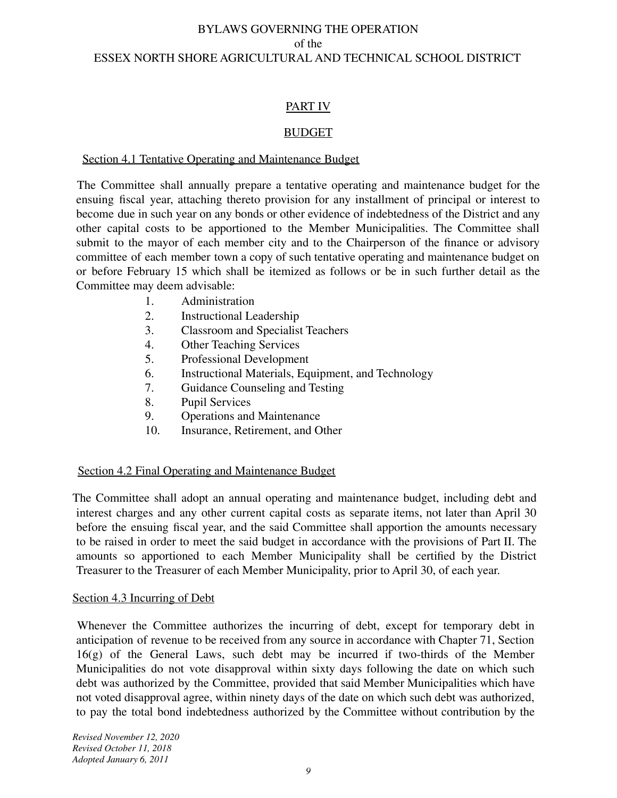# PART IV

# **BUDGET**

## Section 4.1 Tentative Operating and Maintenance Budget

The Committee shall annually prepare a tentative operating and maintenance budget for the ensuing fiscal year, attaching thereto provision for any installment of principal or interest to become due in such year on any bonds or other evidence of indebtedness of the District and any other capital costs to be apportioned to the Member Municipalities. The Committee shall submit to the mayor of each member city and to the Chairperson of the finance or advisory committee of each member town a copy of such tentative operating and maintenance budget on or before February 15 which shall be itemized as follows or be in such further detail as the Committee may deem advisable:

- 1. Administration
- 2. Instructional Leadership<br>3. Classroom and Specialis
- 3. Classroom and Specialist Teachers<br>4. Other Teaching Services
- **Other Teaching Services**
- 5. Professional Development
- 6. Instructional Materials, Equipment, and Technology
- 7. Guidance Counseling and Testing
- 8. Pupil Services<br>9. Operations and
- Operations and Maintenance
- 10. Insurance, Retirement, and Other

## Section 4.2 Final Operating and Maintenance Budget

The Committee shall adopt an annual operating and maintenance budget, including debt and interest charges and any other current capital costs as separate items, not later than April 30 before the ensuing fiscal year, and the said Committee shall apportion the amounts necessary to be raised in order to meet the said budget in accordance with the provisions of Part II. The amounts so apportioned to each Member Municipality shall be certified by the District Treasurer to the Treasurer of each Member Municipality, prior to April 30, of each year.

## Section 4.3 Incurring of Debt

Whenever the Committee authorizes the incurring of debt, except for temporary debt in anticipation of revenue to be received from any source in accordance with Chapter 71, Section 16(g) of the General Laws, such debt may be incurred if two-thirds of the Member Municipalities do not vote disapproval within sixty days following the date on which such debt was authorized by the Committee, provided that said Member Municipalities which have not voted disapproval agree, within ninety days of the date on which such debt was authorized, to pay the total bond indebtedness authorized by the Committee without contribution by the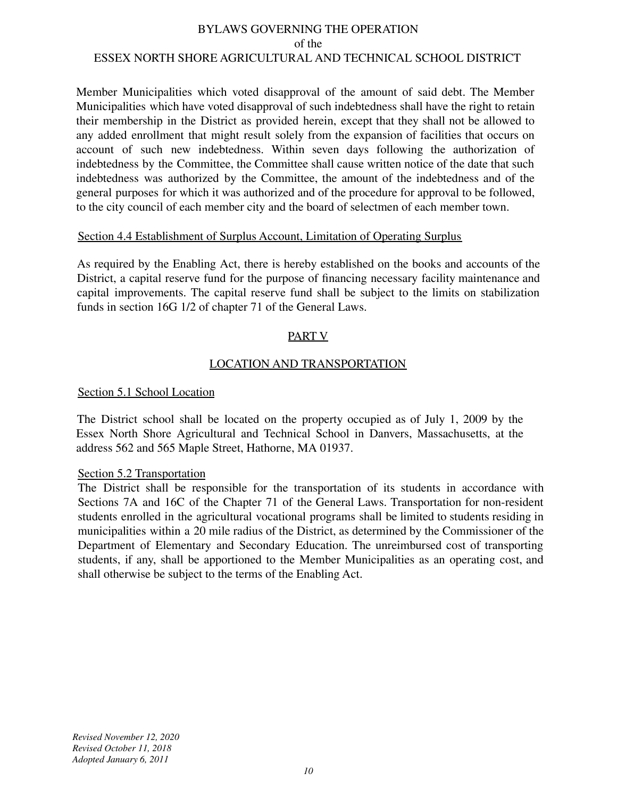Member Municipalities which voted disapproval of the amount of said debt. The Member Municipalities which have voted disapproval of such indebtedness shall have the right to retain their membership in the District as provided herein, except that they shall not be allowed to any added enrollment that might result solely from the expansion of facilities that occurs on account of such new indebtedness. Within seven days following the authorization of indebtedness by the Committee, the Committee shall cause written notice of the date that such indebtedness was authorized by the Committee, the amount of the indebtedness and of the general purposes for which it was authorized and of the procedure for approval to be followed, to the city council of each member city and the board of selectmen of each member town.

## Section 4.4 Establishment of Surplus Account, Limitation of Operating Surplus

As required by the Enabling Act, there is hereby established on the books and accounts of the District, a capital reserve fund for the purpose of financing necessary facility maintenance and capital improvements. The capital reserve fund shall be subject to the limits on stabilization funds in section 16G 1/2 of chapter 71 of the General Laws.

# PART V

# LOCATION AND TRANSPORTATION

# Section 5.1 School Location

The District school shall be located on the property occupied as of July 1, 2009 by the Essex North Shore Agricultural and Technical School in Danvers, Massachusetts, at the address 562 and 565 Maple Street, Hathorne, MA 01937.

## Section 5.2 Transportation

The District shall be responsible for the transportation of its students in accordance with Sections 7A and 16C of the Chapter 71 of the General Laws. Transportation for non-resident students enrolled in the agricultural vocational programs shall be limited to students residing in municipalities within a 20 mile radius of the District, as determined by the Commissioner of the Department of Elementary and Secondary Education. The unreimbursed cost of transporting students, if any, shall be apportioned to the Member Municipalities as an operating cost, and shall otherwise be subject to the terms of the Enabling Act.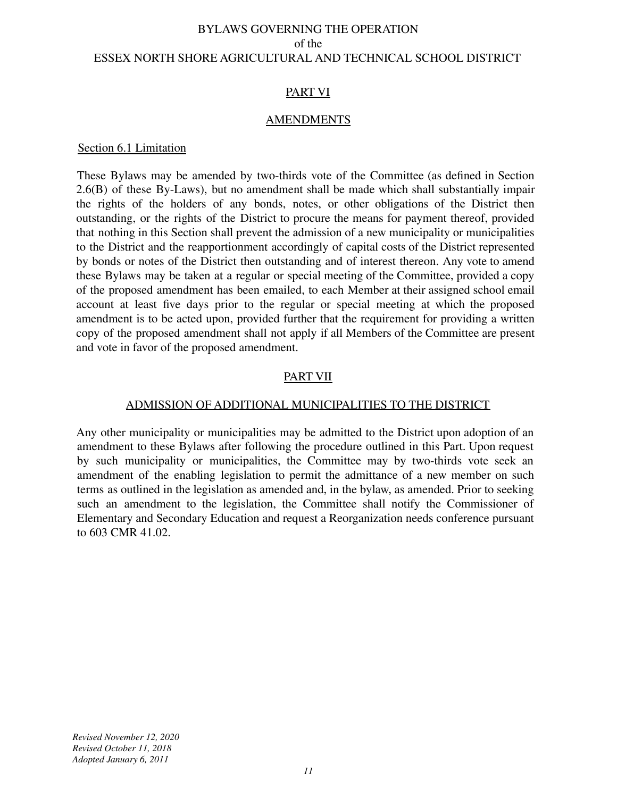## PART VI

#### **AMENDMENTS**

#### Section 6.1 Limitation

These Bylaws may be amended by two-thirds vote of the Committee (as defined in Section 2.6(B) of these By-Laws), but no amendment shall be made which shall substantially impair the rights of the holders of any bonds, notes, or other obligations of the District then outstanding, or the rights of the District to procure the means for payment thereof, provided that nothing in this Section shall prevent the admission of a new municipality or municipalities to the District and the reapportionment accordingly of capital costs of the District represented by bonds or notes of the District then outstanding and of interest thereon. Any vote to amend these Bylaws may be taken at a regular or special meeting of the Committee, provided a copy of the proposed amendment has been emailed, to each Member at their assigned school email account at least five days prior to the regular or special meeting at which the proposed amendment is to be acted upon, provided further that the requirement for providing a written copy of the proposed amendment shall not apply if all Members of the Committee are present and vote in favor of the proposed amendment.

# PART VII

#### ADMISSION OF ADDITIONAL MUNICIPALITIES TO THE DISTRICT

Any other municipality or municipalities may be admitted to the District upon adoption of an amendment to these Bylaws after following the procedure outlined in this Part. Upon request by such municipality or municipalities, the Committee may by two-thirds vote seek an amendment of the enabling legislation to permit the admittance of a new member on such terms as outlined in the legislation as amended and, in the bylaw, as amended. Prior to seeking such an amendment to the legislation, the Committee shall notify the Commissioner of Elementary and Secondary Education and request a Reorganization needs conference pursuant to 603 CMR 41.02.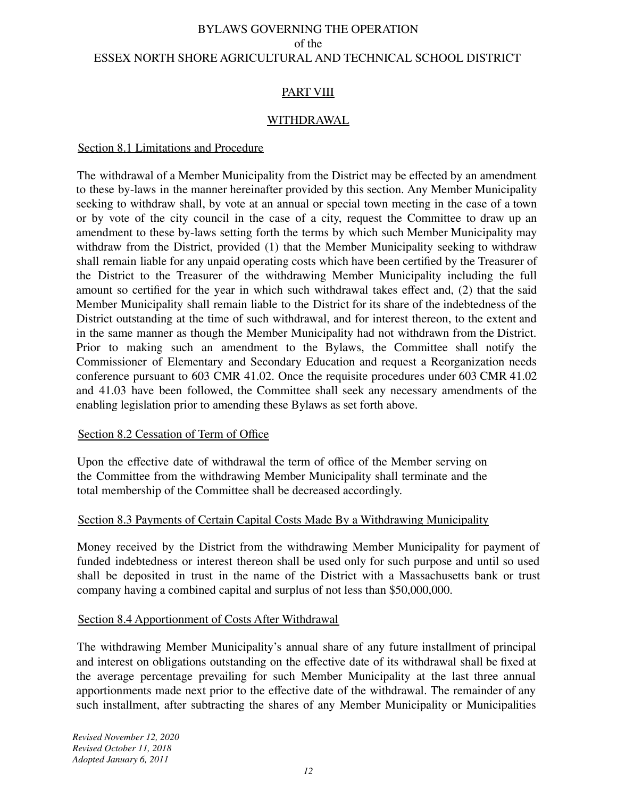# PART VIII

## WITHDRAWAL

## Section 8.1 Limitations and Procedure

The withdrawal of a Member Municipality from the District may be effected by an amendment to these by-laws in the manner hereinafter provided by this section. Any Member Municipality seeking to withdraw shall, by vote at an annual or special town meeting in the case of a town or by vote of the city council in the case of a city, request the Committee to draw up an amendment to these by-laws setting forth the terms by which such Member Municipality may withdraw from the District, provided (1) that the Member Municipality seeking to withdraw shall remain liable for any unpaid operating costs which have been certified by the Treasurer of the District to the Treasurer of the withdrawing Member Municipality including the full amount so certified for the year in which such withdrawal takes effect and, (2) that the said Member Municipality shall remain liable to the District for its share of the indebtedness of the District outstanding at the time of such withdrawal, and for interest thereon, to the extent and in the same manner as though the Member Municipality had not withdrawn from the District. Prior to making such an amendment to the Bylaws, the Committee shall notify the Commissioner of Elementary and Secondary Education and request a Reorganization needs conference pursuant to 603 CMR 41.02. Once the requisite procedures under 603 CMR 41.02 and 41.03 have been followed, the Committee shall seek any necessary amendments of the enabling legislation prior to amending these Bylaws as set forth above.

## Section 8.2 Cessation of Term of Office

Upon the effective date of withdrawal the term of office of the Member serving on the Committee from the withdrawing Member Municipality shall terminate and the total membership of the Committee shall be decreased accordingly.

## Section 8.3 Payments of Certain Capital Costs Made By a Withdrawing Municipality

Money received by the District from the withdrawing Member Municipality for payment of funded indebtedness or interest thereon shall be used only for such purpose and until so used shall be deposited in trust in the name of the District with a Massachusetts bank or trust company having a combined capital and surplus of not less than \$50,000,000.

## Section 8.4 Apportionment of Costs After Withdrawal

The withdrawing Member Municipality's annual share of any future installment of principal and interest on obligations outstanding on the effective date of its withdrawal shall be fixed at the average percentage prevailing for such Member Municipality at the last three annual apportionments made next prior to the effective date of the withdrawal. The remainder of any such installment, after subtracting the shares of any Member Municipality or Municipalities